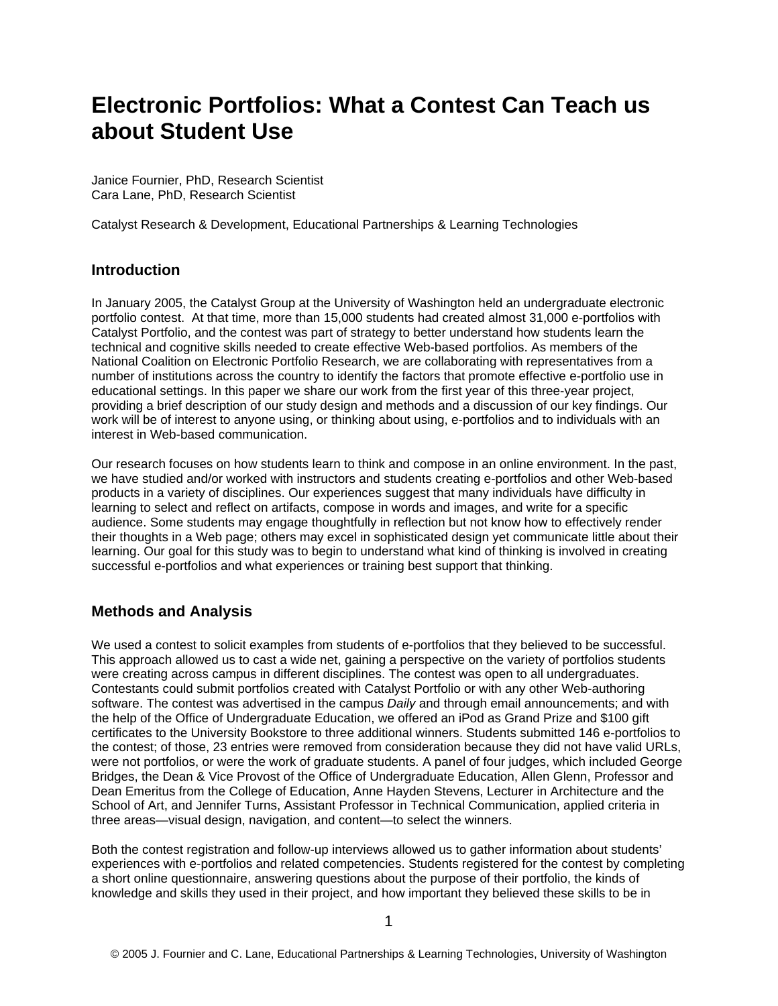# **Electronic Portfolios: What a Contest Can Teach us about Student Use**

Janice Fournier, PhD, Research Scientist Cara Lane, PhD, Research Scientist

Catalyst Research & Development, Educational Partnerships & Learning Technologies

## **Introduction**

In January 2005, the Catalyst Group at the University of Washington held an undergraduate electronic portfolio contest. At that time, more than 15,000 students had created almost 31,000 e-portfolios with Catalyst Portfolio, and the contest was part of strategy to better understand how students learn the technical and cognitive skills needed to create effective Web-based portfolios. As members of the National Coalition on Electronic Portfolio Research, we are collaborating with representatives from a number of institutions across the country to identify the factors that promote effective e-portfolio use in educational settings. In this paper we share our work from the first year of this three-year project, providing a brief description of our study design and methods and a discussion of our key findings. Our work will be of interest to anyone using, or thinking about using, e-portfolios and to individuals with an interest in Web-based communication.

Our research focuses on how students learn to think and compose in an online environment. In the past, we have studied and/or worked with instructors and students creating e-portfolios and other Web-based products in a variety of disciplines. Our experiences suggest that many individuals have difficulty in learning to select and reflect on artifacts, compose in words and images, and write for a specific audience. Some students may engage thoughtfully in reflection but not know how to effectively render their thoughts in a Web page; others may excel in sophisticated design yet communicate little about their learning. Our goal for this study was to begin to understand what kind of thinking is involved in creating successful e-portfolios and what experiences or training best support that thinking.

## **Methods and Analysis**

We used a contest to solicit examples from students of e-portfolios that they believed to be successful. This approach allowed us to cast a wide net, gaining a perspective on the variety of portfolios students were creating across campus in different disciplines. The contest was open to all undergraduates. Contestants could submit portfolios created with Catalyst Portfolio or with any other Web-authoring software. The contest was advertised in the campus *Daily* and through email announcements; and with the help of the Office of Undergraduate Education, we offered an iPod as Grand Prize and \$100 gift certificates to the University Bookstore to three additional winners. Students submitted 146 e-portfolios to the contest; of those, 23 entries were removed from consideration because they did not have valid URLs, were not portfolios, or were the work of graduate students. A panel of four judges, which included George Bridges, the Dean & Vice Provost of the Office of Undergraduate Education, Allen Glenn, Professor and Dean Emeritus from the College of Education, Anne Hayden Stevens, Lecturer in Architecture and the School of Art, and Jennifer Turns, Assistant Professor in Technical Communication, applied criteria in three areas—visual design, navigation, and content—to select the winners.

Both the contest registration and follow-up interviews allowed us to gather information about students' experiences with e-portfolios and related competencies. Students registered for the contest by completing a short online questionnaire, answering questions about the purpose of their portfolio, the kinds of knowledge and skills they used in their project, and how important they believed these skills to be in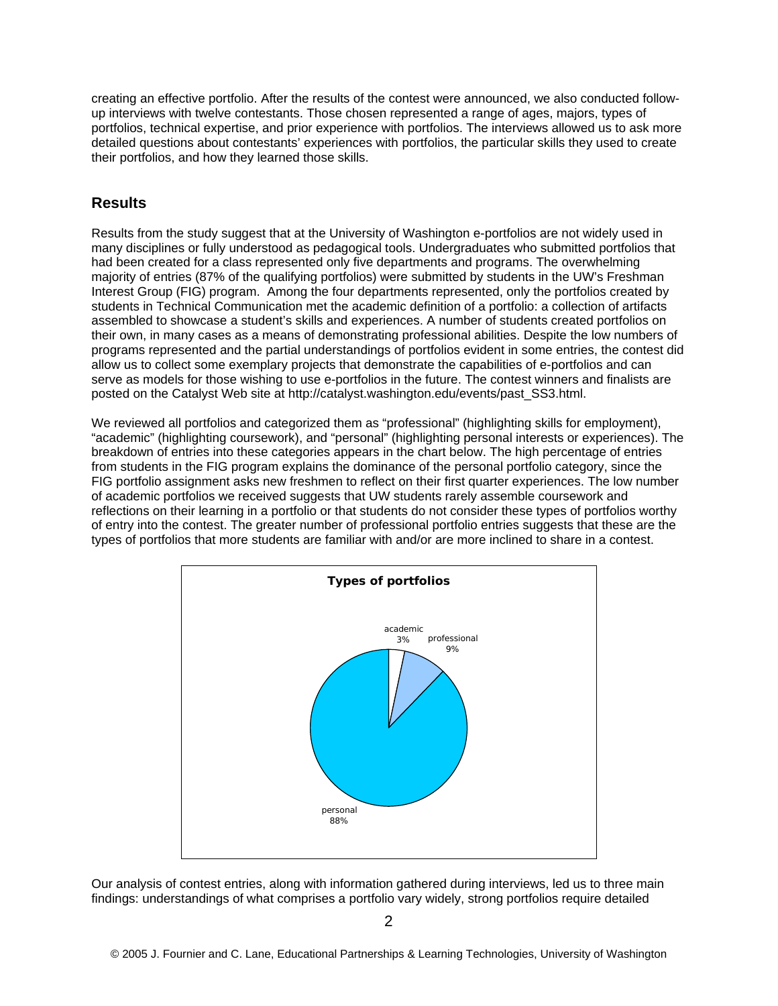creating an effective portfolio. After the results of the contest were announced, we also conducted followup interviews with twelve contestants. Those chosen represented a range of ages, majors, types of portfolios, technical expertise, and prior experience with portfolios. The interviews allowed us to ask more detailed questions about contestants' experiences with portfolios, the particular skills they used to create their portfolios, and how they learned those skills.

## **Results**

Results from the study suggest that at the University of Washington e-portfolios are not widely used in many disciplines or fully understood as pedagogical tools. Undergraduates who submitted portfolios that had been created for a class represented only five departments and programs. The overwhelming majority of entries (87% of the qualifying portfolios) were submitted by students in the UW's Freshman Interest Group (FIG) program. Among the four departments represented, only the portfolios created by students in Technical Communication met the academic definition of a portfolio: a collection of artifacts assembled to showcase a student's skills and experiences. A number of students created portfolios on their own, in many cases as a means of demonstrating professional abilities. Despite the low numbers of programs represented and the partial understandings of portfolios evident in some entries, the contest did allow us to collect some exemplary projects that demonstrate the capabilities of e-portfolios and can serve as models for those wishing to use e-portfolios in the future. The contest winners and finalists are posted on the Catalyst Web site at http://catalyst.washington.edu/events/past\_SS3.html.

We reviewed all portfolios and categorized them as "professional" (highlighting skills for employment), "academic" (highlighting coursework), and "personal" (highlighting personal interests or experiences). The breakdown of entries into these categories appears in the chart below. The high percentage of entries from students in the FIG program explains the dominance of the personal portfolio category, since the FIG portfolio assignment asks new freshmen to reflect on their first quarter experiences. The low number of academic portfolios we received suggests that UW students rarely assemble coursework and reflections on their learning in a portfolio or that students do not consider these types of portfolios worthy of entry into the contest. The greater number of professional portfolio entries suggests that these are the types of portfolios that more students are familiar with and/or are more inclined to share in a contest.



Our analysis of contest entries, along with information gathered during interviews, led us to three main findings: understandings of what comprises a portfolio vary widely, strong portfolios require detailed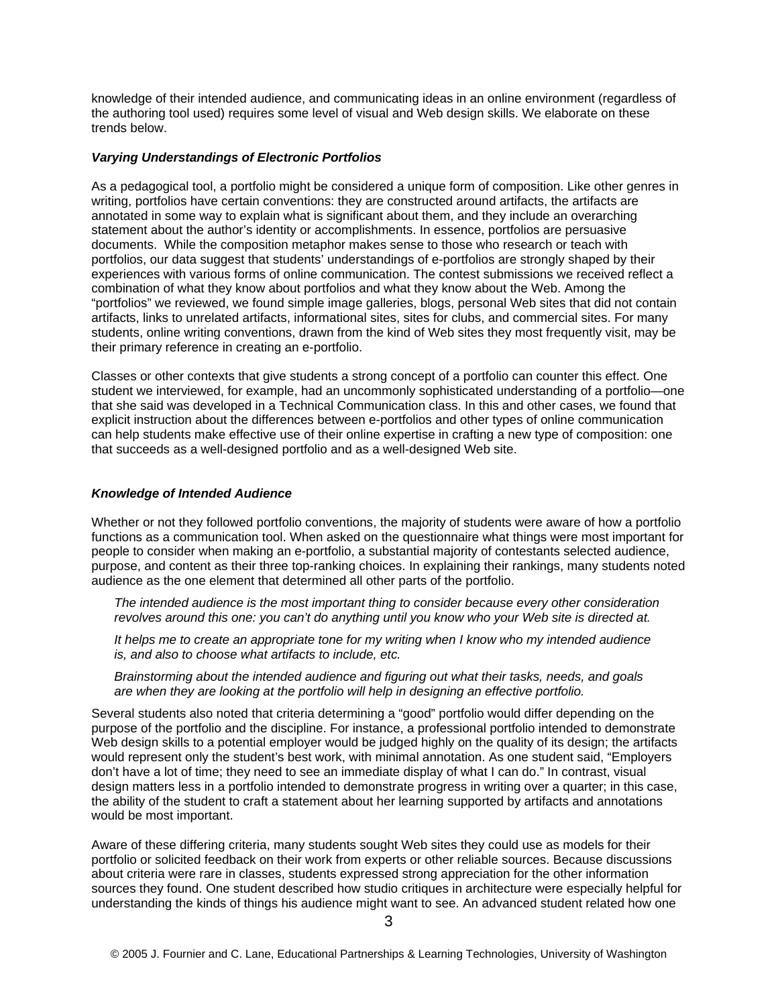knowledge of their intended audience, and communicating ideas in an online environment (regardless of the authoring tool used) requires some level of visual and Web design skills. We elaborate on these trends below.

#### *Varying Understandings of Electronic Portfolios*

As a pedagogical tool, a portfolio might be considered a unique form of composition. Like other genres in writing, portfolios have certain conventions: they are constructed around artifacts, the artifacts are annotated in some way to explain what is significant about them, and they include an overarching statement about the author's identity or accomplishments. In essence, portfolios are persuasive documents. While the composition metaphor makes sense to those who research or teach with portfolios, our data suggest that students' understandings of e-portfolios are strongly shaped by their experiences with various forms of online communication. The contest submissions we received reflect a combination of what they know about portfolios and what they know about the Web. Among the "portfolios" we reviewed, we found simple image galleries, blogs, personal Web sites that did not contain artifacts, links to unrelated artifacts, informational sites, sites for clubs, and commercial sites. For many students, online writing conventions, drawn from the kind of Web sites they most frequently visit, may be their primary reference in creating an e-portfolio.

Classes or other contexts that give students a strong concept of a portfolio can counter this effect. One student we interviewed, for example, had an uncommonly sophisticated understanding of a portfolio—one that she said was developed in a Technical Communication class. In this and other cases, we found that explicit instruction about the differences between e-portfolios and other types of online communication can help students make effective use of their online expertise in crafting a new type of composition: one that succeeds as a well-designed portfolio and as a well-designed Web site.

#### *Knowledge of Intended Audience*

Whether or not they followed portfolio conventions, the majority of students were aware of how a portfolio functions as a communication tool. When asked on the questionnaire what things were most important for people to consider when making an e-portfolio, a substantial majority of contestants selected audience, purpose, and content as their three top-ranking choices. In explaining their rankings, many students noted audience as the one element that determined all other parts of the portfolio.

*The intended audience is the most important thing to consider because every other consideration revolves around this one: you can't do anything until you know who your Web site is directed at.* 

*It helps me to create an appropriate tone for my writing when I know who my intended audience is, and also to choose what artifacts to include, etc.* 

*Brainstorming about the intended audience and figuring out what their tasks, needs, and goals are when they are looking at the portfolio will help in designing an effective portfolio.* 

Several students also noted that criteria determining a "good" portfolio would differ depending on the purpose of the portfolio and the discipline. For instance, a professional portfolio intended to demonstrate Web design skills to a potential employer would be judged highly on the quality of its design; the artifacts would represent only the student's best work, with minimal annotation. As one student said, "Employers don't have a lot of time; they need to see an immediate display of what I can do." In contrast, visual design matters less in a portfolio intended to demonstrate progress in writing over a quarter; in this case, the ability of the student to craft a statement about her learning supported by artifacts and annotations would be most important.

Aware of these differing criteria, many students sought Web sites they could use as models for their portfolio or solicited feedback on their work from experts or other reliable sources. Because discussions about criteria were rare in classes, students expressed strong appreciation for the other information sources they found. One student described how studio critiques in architecture were especially helpful for understanding the kinds of things his audience might want to see. An advanced student related how one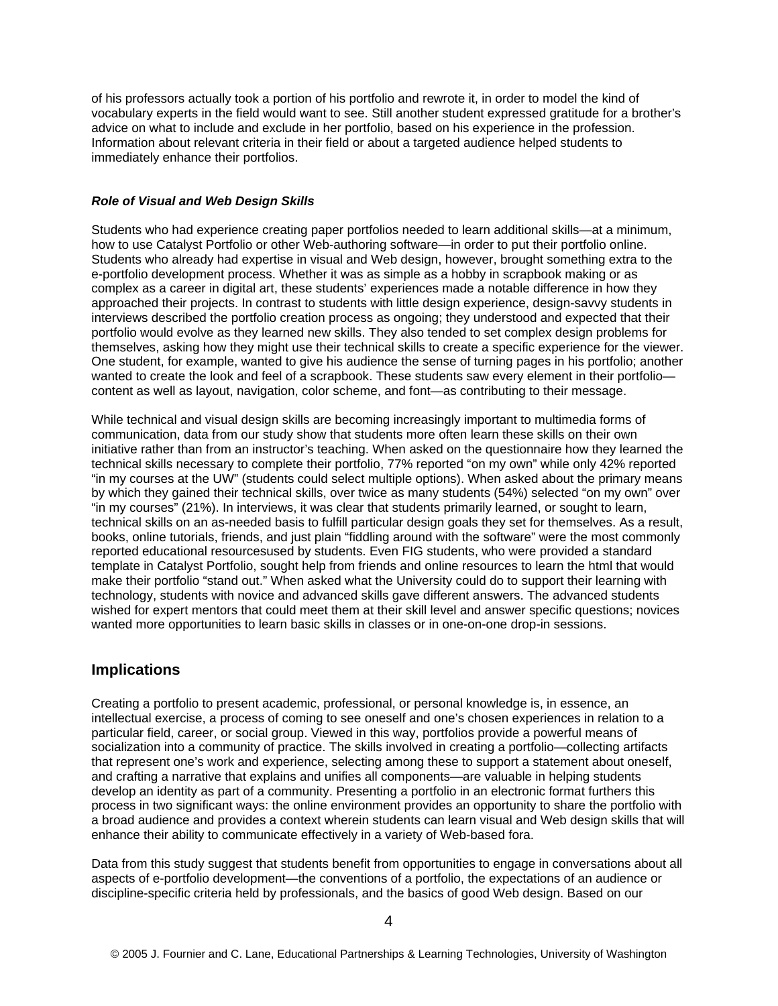of his professors actually took a portion of his portfolio and rewrote it, in order to model the kind of vocabulary experts in the field would want to see. Still another student expressed gratitude for a brother's advice on what to include and exclude in her portfolio, based on his experience in the profession. Information about relevant criteria in their field or about a targeted audience helped students to immediately enhance their portfolios.

#### *Role of Visual and Web Design Skills*

Students who had experience creating paper portfolios needed to learn additional skills—at a minimum, how to use Catalyst Portfolio or other Web-authoring software—in order to put their portfolio online. Students who already had expertise in visual and Web design, however, brought something extra to the e-portfolio development process. Whether it was as simple as a hobby in scrapbook making or as complex as a career in digital art, these students' experiences made a notable difference in how they approached their projects. In contrast to students with little design experience, design-savvy students in interviews described the portfolio creation process as ongoing; they understood and expected that their portfolio would evolve as they learned new skills. They also tended to set complex design problems for themselves, asking how they might use their technical skills to create a specific experience for the viewer. One student, for example, wanted to give his audience the sense of turning pages in his portfolio; another wanted to create the look and feel of a scrapbook. These students saw every element in their portfoliocontent as well as layout, navigation, color scheme, and font—as contributing to their message.

While technical and visual design skills are becoming increasingly important to multimedia forms of communication, data from our study show that students more often learn these skills on their own initiative rather than from an instructor's teaching. When asked on the questionnaire how they learned the technical skills necessary to complete their portfolio, 77% reported "on my own" while only 42% reported "in my courses at the UW" (students could select multiple options). When asked about the primary means by which they gained their technical skills, over twice as many students (54%) selected "on my own" over "in my courses" (21%). In interviews, it was clear that students primarily learned, or sought to learn, technical skills on an as-needed basis to fulfill particular design goals they set for themselves. As a result, books, online tutorials, friends, and just plain "fiddling around with the software" were the most commonly reported educational resourcesused by students. Even FIG students, who were provided a standard template in Catalyst Portfolio, sought help from friends and online resources to learn the html that would make their portfolio "stand out." When asked what the University could do to support their learning with technology, students with novice and advanced skills gave different answers. The advanced students wished for expert mentors that could meet them at their skill level and answer specific questions; novices wanted more opportunities to learn basic skills in classes or in one-on-one drop-in sessions.

### **Implications**

Creating a portfolio to present academic, professional, or personal knowledge is, in essence, an intellectual exercise, a process of coming to see oneself and one's chosen experiences in relation to a particular field, career, or social group. Viewed in this way, portfolios provide a powerful means of socialization into a community of practice. The skills involved in creating a portfolio—collecting artifacts that represent one's work and experience, selecting among these to support a statement about oneself, and crafting a narrative that explains and unifies all components—are valuable in helping students develop an identity as part of a community. Presenting a portfolio in an electronic format furthers this process in two significant ways: the online environment provides an opportunity to share the portfolio with a broad audience and provides a context wherein students can learn visual and Web design skills that will enhance their ability to communicate effectively in a variety of Web-based fora.

Data from this study suggest that students benefit from opportunities to engage in conversations about all aspects of e-portfolio development—the conventions of a portfolio, the expectations of an audience or discipline-specific criteria held by professionals, and the basics of good Web design. Based on our